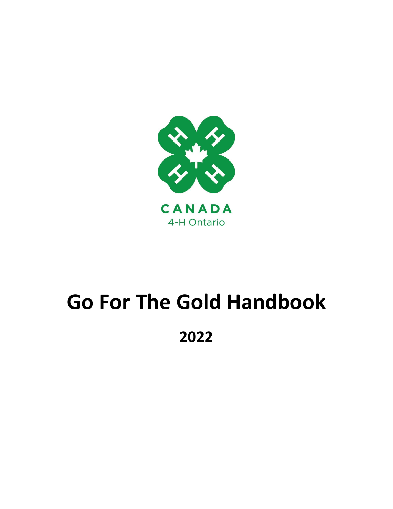

# **Go For The Gold Handbook 2022**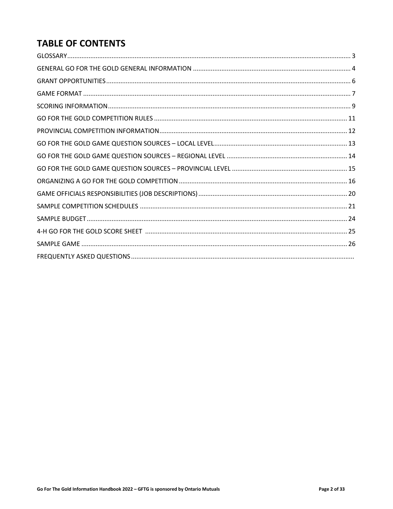# **TABLE OF CONTENTS**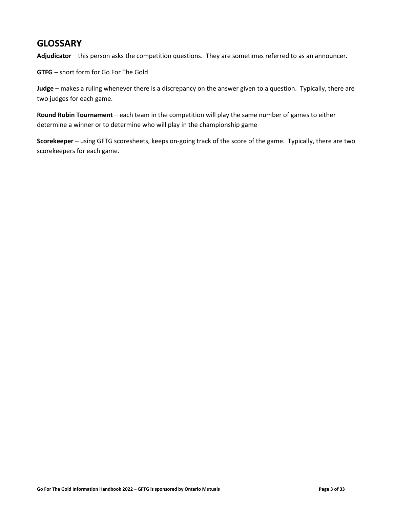# <span id="page-2-0"></span>**GLOSSARY**

**Adjudicator** – this person asks the competition questions. They are sometimes referred to as an announcer.

**GTFG** – short form for Go For The Gold

**Judge** – makes a ruling whenever there is a discrepancy on the answer given to a question. Typically, there are two judges for each game.

**Round Robin Tournament** – each team in the competition will play the same number of games to either determine a winner or to determine who will play in the championship game

**Scorekeeper** – using GFTG scoresheets, keeps on-going track of the score of the game. Typically, there are two scorekeepers for each game.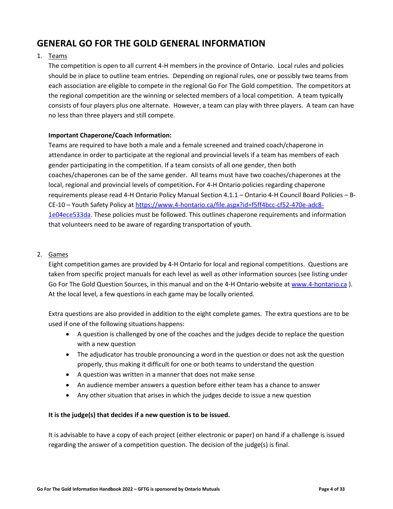# <span id="page-3-0"></span>**GENERAL GO FOR THE GOLD GENERAL INFORMATION**

# 1. Teams

The competition is open to all current 4-H members in the province of Ontario. Local rules and policies should be in place to outline team entries. Depending on regional rules, one or possibly two teams from each association are eligible to compete in the regional Go For The Gold competition. The competitors at the regional competition are the winning or selected members of a local competition. A team typically consists of four players plus one alternate. However, a team can play with three players. A team can have no less than three players and still compete.

# **Important Chaperone/Coach Information:**

Teams are required to have both a male and a female screened and trained coach/chaperone in attendance in order to participate at the regional and provincial levels if a team has members of each gender participating in the competition. If a team consists of all one gender, then both coaches/chaperones can be of the same gender. All teams must have two coaches/chaperones at the local, regional and provincial levels of competition**.** For 4-H Ontario policies regarding chaperone requirements please read 4-H Ontario Policy Manual Section 4.1.1 – Ontario 4-H Council Board Policies – B-CE-10 – Youth Safety Policy at [https://www.4-hontario.ca/file.aspx?id=f5ff4bcc-cf52-470e-adc8-](https://www.4-hontario.ca/file.aspx?id=f5ff4bcc-cf52-470e-adc8-1e04ece533da) [1e04ece533da.](https://www.4-hontario.ca/file.aspx?id=f5ff4bcc-cf52-470e-adc8-1e04ece533da) These policies must be followed. This outlines chaperone requirements and information that volunteers need to be aware of regarding transportation of youth.

# 2. Games

Eight competition games are provided by 4-H Ontario for local and regional competitions. Questions are taken from specific project manuals for each level as well as other information sources (see listing under Go For The Gold Question Sources, in this manual and on the 4-H Ontario website at [www.4-hontario.ca](http://www.4-hontario.ca/) ). At the local level, a few questions in each game may be locally oriented.

Extra questions are also provided in addition to the eight complete games. The extra questions are to be used if one of the following situations happens:

- A question is challenged by one of the coaches and the judges decide to replace the question with a new question
- The adjudicator has trouble pronouncing a word in the question or does not ask the question properly, thus making it difficult for one or both teams to understand the question
- A question was written in a manner that does not make sense
- An audience member answers a question before either team has a chance to answer
- Any other situation that arises in which the judges decide to issue a new question

# **It is the judge(s) that decides if a new question is to be issued.**

It is advisable to have a copy of each project (either electronic or paper) on hand if a challenge is issued regarding the answer of a competition question. The decision of the judge(s) is final.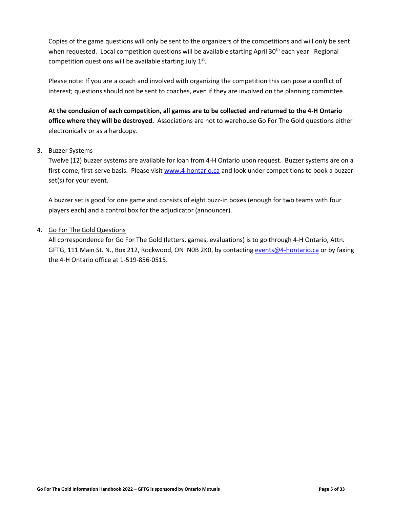Copies of the game questions will only be sent to the organizers of the competitions and will only be sent when requested. Local competition questions will be available starting April 30<sup>th</sup> each year. Regional competition questions will be available starting July  $1<sup>st</sup>$ .

Please note: If you are a coach and involved with organizing the competition this can pose a conflict of interest; questions should not be sent to coaches, even if they are involved on the planning committee.

**At the conclusion of each competition, all games are to be collected and returned to the 4-H Ontario office where they will be destroyed.** Associations are not to warehouse Go For The Gold questions either electronically or as a hardcopy.

# 3. Buzzer Systems

Twelve (12) buzzer systems are available for loan from 4-H Ontario upon request. Buzzer systems are on a first-come, first-serve basis. Please visit [www.4-hontario.ca](http://www.4-hontario.ca/) and look under competitions to book a buzzer set(s) for your event.

A buzzer set is good for one game and consists of eight buzz-in boxes (enough for two teams with four players each) and a control box for the adjudicator (announcer).

# 4. Go For The Gold Questions

All correspondence for Go For The Gold (letters, games, evaluations) is to go through 4-H Ontario, Attn. GFTG, 111 Main St. N., Box 212, Rockwood, ON N0B 2K0, by contacting [events@4-hontario.ca](mailto:events@4-hontario.ca) or by faxing the 4-H Ontario office at 1-519-856-0515.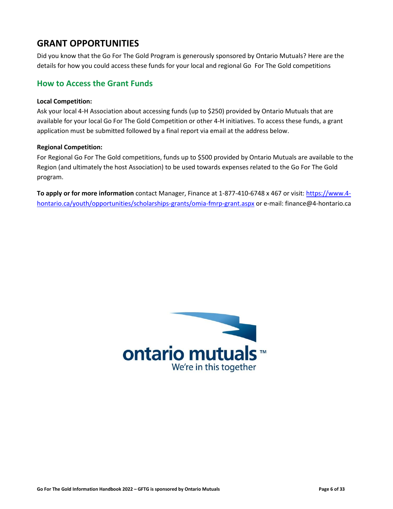# <span id="page-5-0"></span>**GRANT OPPORTUNITIES**

Did you know that the Go For The Gold Program is generously sponsored by Ontario Mutuals? Here are the details for how you could access these funds for your local and regional Go For The Gold competitions

# **How to Access the Grant Funds**

# **Local Competition:**

Ask your local 4-H Association about accessing funds (up to \$250) provided by Ontario Mutuals that are available for your local Go For The Gold Competition or other 4-H initiatives. To access these funds, a grant application must be submitted followed by a final report via email at the address below.

### **Regional Competition:**

For Regional Go For The Gold competitions, funds up to \$500 provided by Ontario Mutuals are available to the Region (and ultimately the host Association) to be used towards expenses related to the Go For The Gold program.

**To apply or for more information** contact Manager, Finance at 1-877-410-6748 x 467 or visit: [https://www.4](https://www.4-hontario.ca/youth/opportunities/scholarships-grants/omia-fmrp-grant.aspx) [hontario.ca/youth/opportunities/scholarships-grants/omia-fmrp-grant.aspx](https://www.4-hontario.ca/youth/opportunities/scholarships-grants/omia-fmrp-grant.aspx) or e-mail: finance@4-hontario.ca

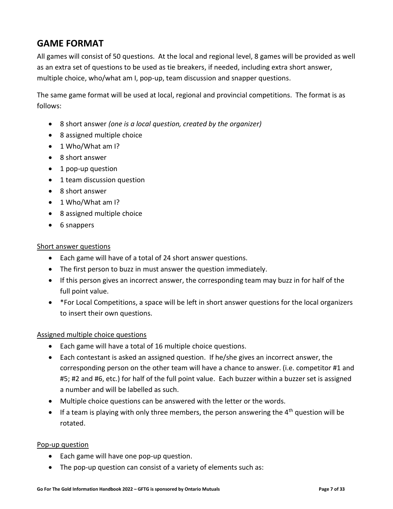# <span id="page-6-0"></span>**GAME FORMAT**

All games will consist of 50 questions. At the local and regional level, 8 games will be provided as well as an extra set of questions to be used as tie breakers, if needed, including extra short answer, multiple choice, who/what am I, pop-up, team discussion and snapper questions.

The same game format will be used at local, regional and provincial competitions. The format is as follows:

- 8 short answer *(one is a local question, created by the organizer)*
- 8 assigned multiple choice
- 1 Who/What am I?
- 8 short answer
- 1 pop-up question
- 1 team discussion question
- 8 short answer
- 1 Who/What am I?
- 8 assigned multiple choice
- 6 snappers

# Short answer questions

- Each game will have of a total of 24 short answer questions.
- The first person to buzz in must answer the question immediately.
- If this person gives an incorrect answer, the corresponding team may buzz in for half of the full point value.
- \*For Local Competitions, a space will be left in short answer questions for the local organizers to insert their own questions.

# Assigned multiple choice questions

- Each game will have a total of 16 multiple choice questions.
- Each contestant is asked an assigned question. If he/she gives an incorrect answer, the corresponding person on the other team will have a chance to answer. (i.e. competitor #1 and #5; #2 and #6, etc.) for half of the full point value. Each buzzer within a buzzer set is assigned a number and will be labelled as such.
- Multiple choice questions can be answered with the letter or the words.
- If a team is playing with only three members, the person answering the  $4<sup>th</sup>$  question will be rotated.

# Pop-up question

- Each game will have one pop-up question.
- The pop-up question can consist of a variety of elements such as: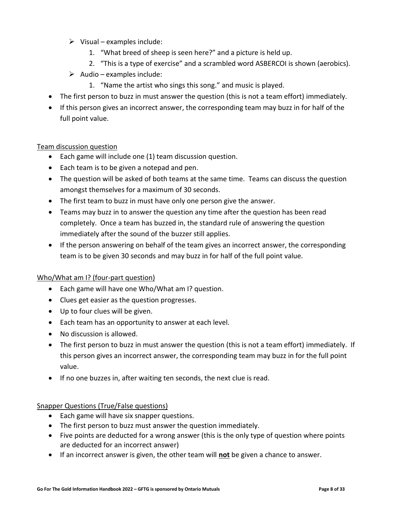- $\triangleright$  Visual examples include:
	- 1. "What breed of sheep is seen here?" and a picture is held up.
	- 2. "This is a type of exercise" and a scrambled word ASBERCOI is shown (aerobics).
- $\triangleright$  Audio examples include:
	- 1. "Name the artist who sings this song." and music is played.
- The first person to buzz in must answer the question (this is not a team effort) immediately.
- If this person gives an incorrect answer, the corresponding team may buzz in for half of the full point value.

# Team discussion question

- Each game will include one (1) team discussion question.
- Each team is to be given a notepad and pen.
- The question will be asked of both teams at the same time. Teams can discuss the question amongst themselves for a maximum of 30 seconds.
- The first team to buzz in must have only one person give the answer.
- Teams may buzz in to answer the question any time after the question has been read completely. Once a team has buzzed in, the standard rule of answering the question immediately after the sound of the buzzer still applies.
- If the person answering on behalf of the team gives an incorrect answer, the corresponding team is to be given 30 seconds and may buzz in for half of the full point value.

# Who/What am I? (four-part question)

- Each game will have one Who/What am I? question.
- Clues get easier as the question progresses.
- Up to four clues will be given.
- Each team has an opportunity to answer at each level.
- No discussion is allowed.
- The first person to buzz in must answer the question (this is not a team effort) immediately. If this person gives an incorrect answer, the corresponding team may buzz in for the full point value.
- If no one buzzes in, after waiting ten seconds, the next clue is read.

# Snapper Questions (True/False questions)

- Each game will have six snapper questions.
- The first person to buzz must answer the question immediately.
- Five points are deducted for a wrong answer (this is the only type of question where points are deducted for an incorrect answer)
- If an incorrect answer is given, the other team will **not** be given a chance to answer.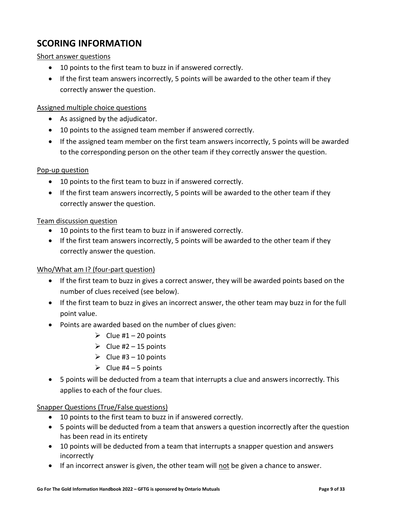# <span id="page-8-0"></span>**SCORING INFORMATION**

# Short answer questions

- 10 points to the first team to buzz in if answered correctly.
- If the first team answers incorrectly, 5 points will be awarded to the other team if they correctly answer the question.

# Assigned multiple choice questions

- As assigned by the adjudicator.
- 10 points to the assigned team member if answered correctly.
- If the assigned team member on the first team answers incorrectly, 5 points will be awarded to the corresponding person on the other team if they correctly answer the question.

# Pop-up question

- 10 points to the first team to buzz in if answered correctly.
- If the first team answers incorrectly, 5 points will be awarded to the other team if they correctly answer the question.

# Team discussion question

- 10 points to the first team to buzz in if answered correctly.
- If the first team answers incorrectly, 5 points will be awarded to the other team if they correctly answer the question.

# Who/What am I? (four-part question)

- If the first team to buzz in gives a correct answer, they will be awarded points based on the number of clues received (see below).
- If the first team to buzz in gives an incorrect answer, the other team may buzz in for the full point value.
- Points are awarded based on the number of clues given:
	- $\triangleright$  Clue #1 20 points
	- $\triangleright$  Clue #2 15 points
	- $\triangleright$  Clue #3 10 points
	- $\triangleright$  Clue #4 5 points
- 5 points will be deducted from a team that interrupts a clue and answers incorrectly. This applies to each of the four clues.

# Snapper Questions (True/False questions)

- 10 points to the first team to buzz in if answered correctly.
- 5 points will be deducted from a team that answers a question incorrectly after the question has been read in its entirety
- 10 points will be deducted from a team that interrupts a snapper question and answers incorrectly
- If an incorrect answer is given, the other team will not be given a chance to answer.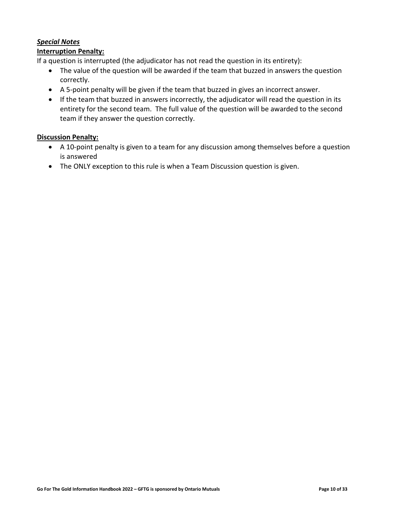# *Special Notes*

# **Interruption Penalty:**

If a question is interrupted (the adjudicator has not read the question in its entirety):

- The value of the question will be awarded if the team that buzzed in answers the question correctly.
- A 5-point penalty will be given if the team that buzzed in gives an incorrect answer.
- If the team that buzzed in answers incorrectly, the adjudicator will read the question in its entirety for the second team. The full value of the question will be awarded to the second team if they answer the question correctly.

# **Discussion Penalty:**

- A 10-point penalty is given to a team for any discussion among themselves before a question is answered
- The ONLY exception to this rule is when a Team Discussion question is given.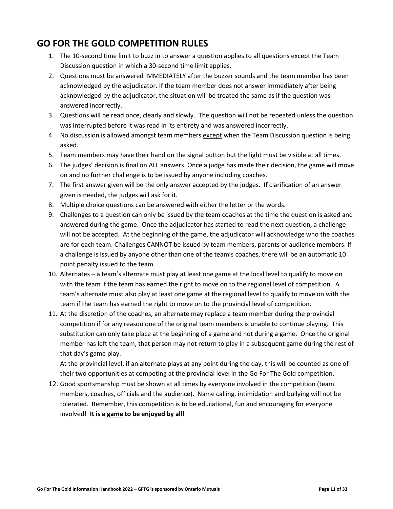# <span id="page-10-0"></span>**GO FOR THE GOLD COMPETITION RULES**

- 1. The 10-second time limit to buzz in to answer a question applies to all questions except the Team Discussion question in which a 30-second time limit applies.
- 2. Questions must be answered IMMEDIATELY after the buzzer sounds and the team member has been acknowledged by the adjudicator. If the team member does not answer immediately after being acknowledged by the adjudicator, the situation will be treated the same as if the question was answered incorrectly.
- 3. Questions will be read once, clearly and slowly. The question will not be repeated unless the question was interrupted before it was read in its entirety and was answered incorrectly.
- 4. No discussion is allowed amongst team members except when the Team Discussion question is being asked.
- 5. Team members may have their hand on the signal button but the light must be visible at all times.
- 6. The judges' decision is final on ALL answers. Once a judge has made their decision, the game will move on and no further challenge is to be issued by anyone including coaches.
- 7. The first answer given will be the only answer accepted by the judges. If clarification of an answer given is needed, the judges will ask for it.
- 8. Multiple choice questions can be answered with either the letter or the words.
- 9. Challenges to a question can only be issued by the team coaches at the time the question is asked and answered during the game. Once the adjudicator has started to read the next question, a challenge will not be accepted. At the beginning of the game, the adjudicator will acknowledge who the coaches are for each team. Challenges CANNOT be issued by team members, parents or audience members. If a challenge is issued by anyone other than one of the team's coaches, there will be an automatic 10 point penalty issued to the team.
- 10. Alternates a team's alternate must play at least one game at the local level to qualify to move on with the team if the team has earned the right to move on to the regional level of competition. A team's alternate must also play at least one game at the regional level to qualify to move on with the team if the team has earned the right to move on to the provincial level of competition.
- 11. At the discretion of the coaches, an alternate may replace a team member during the provincial competition if for any reason one of the original team members is unable to continue playing. This substitution can only take place at the beginning of a game and not during a game. Once the original member has left the team, that person may not return to play in a subsequent game during the rest of that day's game play.

At the provincial level, if an alternate plays at any point during the day, this will be counted as one of their two opportunities at competing at the provincial level in the Go For The Gold competition.

12. Good sportsmanship must be shown at all times by everyone involved in the competition (team members, coaches, officials and the audience). Name calling, intimidation and bullying will not be tolerated. Remember, this competition is to be educational, fun and encouraging for everyone involved! **It is a game to be enjoyed by all!**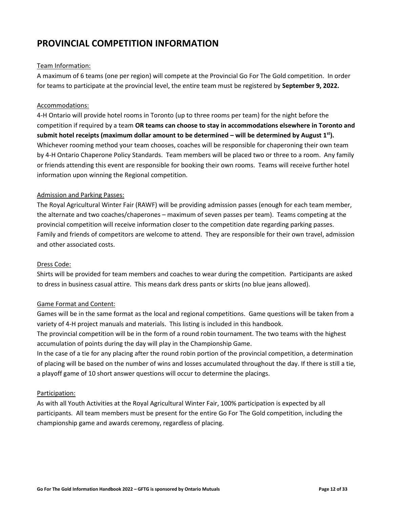# <span id="page-11-0"></span>**PROVINCIAL COMPETITION INFORMATION**

# Team Information:

A maximum of 6 teams (one per region) will compete at the Provincial Go For The Gold competition. In order for teams to participate at the provincial level, the entire team must be registered by **September 9, 2022.**

# Accommodations:

4-H Ontario will provide hotel rooms in Toronto (up to three rooms per team) for the night before the competition if required by a team **OR teams can choose to stay in accommodations elsewhere in Toronto and submit hotel receipts (maximum dollar amount to be determined – will be determined by August 1st).** Whichever rooming method your team chooses, coaches will be responsible for chaperoning their own team by 4-H Ontario Chaperone Policy Standards. Team members will be placed two or three to a room. Any family or friends attending this event are responsible for booking their own rooms. Teams will receive further hotel information upon winning the Regional competition.

# Admission and Parking Passes:

The Royal Agricultural Winter Fair (RAWF) will be providing admission passes (enough for each team member, the alternate and two coaches/chaperones – maximum of seven passes per team). Teams competing at the provincial competition will receive information closer to the competition date regarding parking passes. Family and friends of competitors are welcome to attend. They are responsible for their own travel, admission and other associated costs.

# Dress Code:

Shirts will be provided for team members and coaches to wear during the competition. Participants are asked to dress in business casual attire. This means dark dress pants or skirts (no blue jeans allowed).

# Game Format and Content:

Games will be in the same format as the local and regional competitions. Game questions will be taken from a variety of 4-H project manuals and materials. This listing is included in this handbook.

The provincial competition will be in the form of a round robin tournament. The two teams with the highest accumulation of points during the day will play in the Championship Game.

In the case of a tie for any placing after the round robin portion of the provincial competition, a determination of placing will be based on the number of wins and losses accumulated throughout the day. If there is still a tie, a playoff game of 10 short answer questions will occur to determine the placings.

# Participation:

As with all Youth Activities at the Royal Agricultural Winter Fair, 100% participation is expected by all participants. All team members must be present for the entire Go For The Gold competition, including the championship game and awards ceremony, regardless of placing.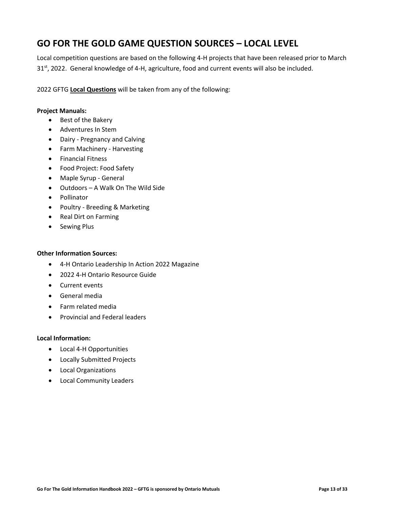# <span id="page-12-0"></span>**GO FOR THE GOLD GAME QUESTION SOURCES – LOCAL LEVEL**

Local competition questions are based on the following 4-H projects that have been released prior to March 31<sup>st</sup>, 2022. General knowledge of 4-H, agriculture, food and current events will also be included.

2022 GFTG **Local Questions** will be taken from any of the following:

### **Project Manuals:**

- Best of the Bakery
- Adventures In Stem
- Dairy Pregnancy and Calving
- Farm Machinery Harvesting
- Financial Fitness
- Food Project: Food Safety
- Maple Syrup General
- Outdoors A Walk On The Wild Side
- Pollinator
- Poultry Breeding & Marketing
- Real Dirt on Farming
- Sewing Plus

### **Other Information Sources:**

- 4-H Ontario Leadership In Action 2022 Magazine
- 2022 4-H Ontario Resource Guide
- Current events
- General media
- Farm related media
- Provincial and Federal leaders

### **Local Information:**

- Local 4-H Opportunities
- Locally Submitted Projects
- Local Organizations
- Local Community Leaders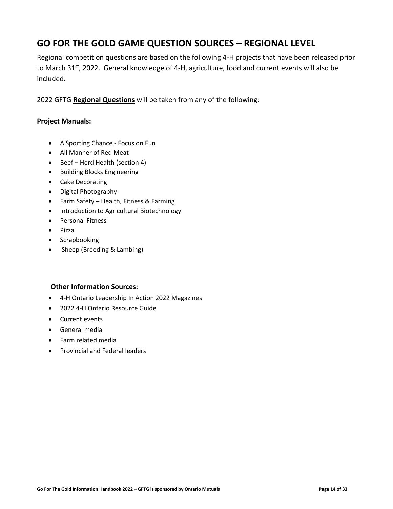# <span id="page-13-0"></span>**GO FOR THE GOLD GAME QUESTION SOURCES – REGIONAL LEVEL**

Regional competition questions are based on the following 4-H projects that have been released prior to March 31<sup>st</sup>, 2022. General knowledge of 4-H, agriculture, food and current events will also be included.

2022 GFTG **Regional Questions** will be taken from any of the following:

# **Project Manuals:**

- A Sporting Chance Focus on Fun
- All Manner of Red Meat
- Beef Herd Health (section 4)
- Building Blocks Engineering
- Cake Decorating
- Digital Photography
- Farm Safety Health, Fitness & Farming
- Introduction to Agricultural Biotechnology
- Personal Fitness
- Pizza
- Scrapbooking
- Sheep (Breeding & Lambing)

# **Other Information Sources:**

- 4-H Ontario Leadership In Action 2022 Magazines
- 2022 4-H Ontario Resource Guide
- Current events
- General media
- Farm related media
- Provincial and Federal leaders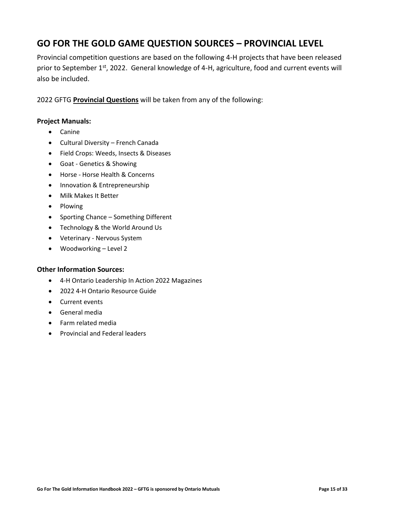# <span id="page-14-0"></span>**GO FOR THE GOLD GAME QUESTION SOURCES – PROVINCIAL LEVEL**

Provincial competition questions are based on the following 4-H projects that have been released prior to September 1<sup>st</sup>, 2022. General knowledge of 4-H, agriculture, food and current events will also be included.

2022 GFTG **Provincial Questions** will be taken from any of the following:

# **Project Manuals:**

- Canine
- Cultural Diversity French Canada
- Field Crops: Weeds, Insects & Diseases
- Goat Genetics & Showing
- Horse Horse Health & Concerns
- Innovation & Entrepreneurship
- Milk Makes It Better
- Plowing
- Sporting Chance Something Different
- Technology & the World Around Us
- Veterinary Nervous System
- Woodworking Level 2

# **Other Information Sources:**

- 4-H Ontario Leadership In Action 2022 Magazines
- 2022 4-H Ontario Resource Guide
- Current events
- General media
- Farm related media
- Provincial and Federal leaders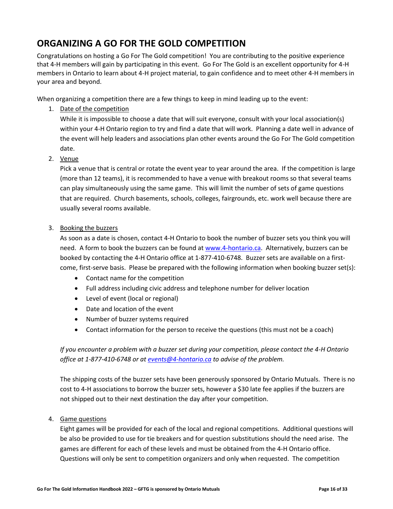# <span id="page-15-0"></span>**ORGANIZING A GO FOR THE GOLD COMPETITION**

Congratulations on hosting a Go For The Gold competition! You are contributing to the positive experience that 4-H members will gain by participating in this event. Go For The Gold is an excellent opportunity for 4-H members in Ontario to learn about 4-H project material, to gain confidence and to meet other 4-H members in your area and beyond.

When organizing a competition there are a few things to keep in mind leading up to the event:

1. Date of the competition

While it is impossible to choose a date that will suit everyone, consult with your local association(s) within your 4-H Ontario region to try and find a date that will work. Planning a date well in advance of the event will help leaders and associations plan other events around the Go For The Gold competition date.

2. Venue

Pick a venue that is central or rotate the event year to year around the area. If the competition is large (more than 12 teams), it is recommended to have a venue with breakout rooms so that several teams can play simultaneously using the same game. This will limit the number of sets of game questions that are required. Church basements, schools, colleges, fairgrounds, etc. work well because there are usually several rooms available.

# 3. Booking the buzzers

As soon as a date is chosen, contact 4-H Ontario to book the number of buzzer sets you think you will need. A form to book the buzzers can be found at [www.4-hontario.ca.](http://www.4-hontario.ca/) Alternatively, buzzers can be booked by contacting the 4-H Ontario office at 1-877-410-6748. Buzzer sets are available on a firstcome, first-serve basis. Please be prepared with the following information when booking buzzer set(s):

- Contact name for the competition
- Full address including civic address and telephone number for deliver location
- Level of event (local or regional)
- Date and location of the event
- Number of buzzer systems required
- Contact information for the person to receive the questions (this must not be a coach)

*If you encounter a problem with a buzzer set during your competition, please contact the 4-H Ontario office at 1-877-410-6748 or at [events@4-hontario.ca](mailto:events@4-hontario.ca) to advise of the problem.*

The shipping costs of the buzzer sets have been generously sponsored by Ontario Mutuals. There is no cost to 4-H associations to borrow the buzzer sets, however a \$30 late fee applies if the buzzers are not shipped out to their next destination the day after your competition.

4. Game questions

Eight games will be provided for each of the local and regional competitions. Additional questions will be also be provided to use for tie breakers and for question substitutions should the need arise. The games are different for each of these levels and must be obtained from the 4-H Ontario office. Questions will only be sent to competition organizers and only when requested. The competition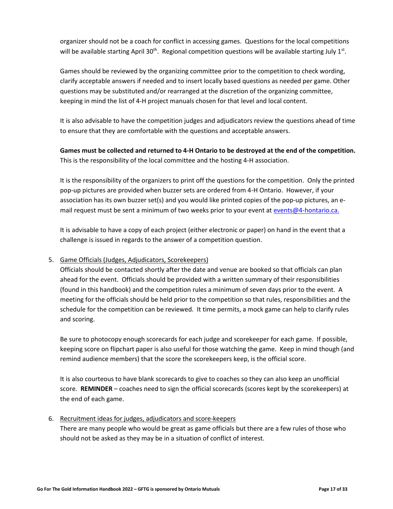organizer should not be a coach for conflict in accessing games. Questions for the local competitions will be available starting April 30<sup>th</sup>. Regional competition questions will be available starting July 1<sup>st</sup>.

Games should be reviewed by the organizing committee prior to the competition to check wording, clarify acceptable answers if needed and to insert locally based questions as needed per game. Other questions may be substituted and/or rearranged at the discretion of the organizing committee, keeping in mind the list of 4-H project manuals chosen for that level and local content.

It is also advisable to have the competition judges and adjudicators review the questions ahead of time to ensure that they are comfortable with the questions and acceptable answers.

**Games must be collected and returned to 4-H Ontario to be destroyed at the end of the competition.** This is the responsibility of the local committee and the hosting 4-H association.

It is the responsibility of the organizers to print off the questions for the competition. Only the printed pop-up pictures are provided when buzzer sets are ordered from 4-H Ontario. However, if your association has its own buzzer set(s) and you would like printed copies of the pop-up pictures, an email request must be sent a minimum of two weeks prior to your event at [events@4-hontario.ca.](mailto:events@4-hontario.ca)

It is advisable to have a copy of each project (either electronic or paper) on hand in the event that a challenge is issued in regards to the answer of a competition question.

# 5. Game Officials (Judges, Adjudicators, Scorekeepers)

Officials should be contacted shortly after the date and venue are booked so that officials can plan ahead for the event. Officials should be provided with a written summary of their responsibilities (found in this handbook) and the competition rules a minimum of seven days prior to the event. A meeting for the officials should be held prior to the competition so that rules, responsibilities and the schedule for the competition can be reviewed. It time permits, a mock game can help to clarify rules and scoring.

Be sure to photocopy enough scorecards for each judge and scorekeeper for each game. If possible, keeping score on flipchart paper is also useful for those watching the game. Keep in mind though (and remind audience members) that the score the scorekeepers keep, is the official score.

It is also courteous to have blank scorecards to give to coaches so they can also keep an unofficial score. **REMINDER** – coaches need to sign the official scorecards (scores kept by the scorekeepers) at the end of each game.

# 6. Recruitment ideas for judges, adjudicators and score-keepers

There are many people who would be great as game officials but there are a few rules of those who should not be asked as they may be in a situation of conflict of interest.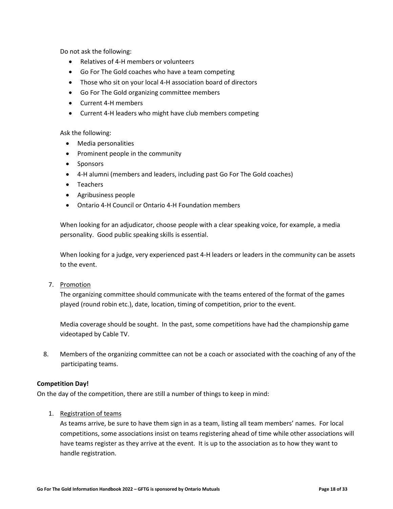Do not ask the following:

- Relatives of 4-H members or volunteers
- Go For The Gold coaches who have a team competing
- Those who sit on your local 4-H association board of directors
- Go For The Gold organizing committee members
- Current 4-H members
- Current 4-H leaders who might have club members competing

Ask the following:

- Media personalities
- Prominent people in the community
- Sponsors
- 4-H alumni (members and leaders, including past Go For The Gold coaches)
- Teachers
- Agribusiness people
- Ontario 4-H Council or Ontario 4-H Foundation members

When looking for an adjudicator, choose people with a clear speaking voice, for example, a media personality. Good public speaking skills is essential.

When looking for a judge, very experienced past 4-H leaders or leaders in the community can be assets to the event.

7. Promotion

The organizing committee should communicate with the teams entered of the format of the games played (round robin etc.), date, location, timing of competition, prior to the event.

Media coverage should be sought. In the past, some competitions have had the championship game videotaped by Cable TV.

 8. Members of the organizing committee can not be a coach or associated with the coaching of any of the participating teams.

# **Competition Day!**

On the day of the competition, there are still a number of things to keep in mind:

1. Registration of teams

As teams arrive, be sure to have them sign in as a team, listing all team members' names. For local competitions, some associations insist on teams registering ahead of time while other associations will have teams register as they arrive at the event. It is up to the association as to how they want to handle registration.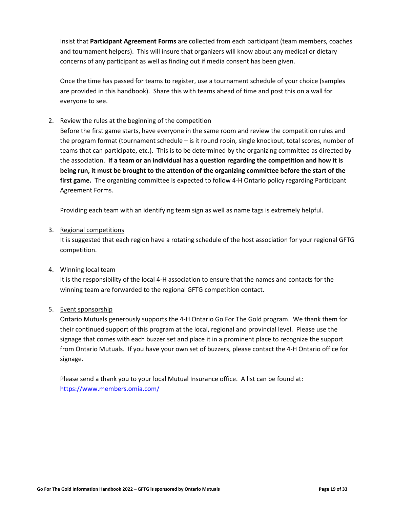Insist that **Participant Agreement Forms** are collected from each participant (team members, coaches and tournament helpers). This will insure that organizers will know about any medical or dietary concerns of any participant as well as finding out if media consent has been given.

Once the time has passed for teams to register, use a tournament schedule of your choice (samples are provided in this handbook). Share this with teams ahead of time and post this on a wall for everyone to see.

# 2. Review the rules at the beginning of the competition

Before the first game starts, have everyone in the same room and review the competition rules and the program format (tournament schedule – is it round robin, single knockout, total scores, number of teams that can participate, etc.). This is to be determined by the organizing committee as directed by the association. **If a team or an individual has a question regarding the competition and how it is being run, it must be brought to the attention of the organizing committee before the start of the first game.** The organizing committee is expected to follow 4-H Ontario policy regarding Participant Agreement Forms.

Providing each team with an identifying team sign as well as name tags is extremely helpful.

# 3. Regional competitions

It is suggested that each region have a rotating schedule of the host association for your regional GFTG competition.

# 4. Winning local team

It is the responsibility of the local 4-H association to ensure that the names and contacts for the winning team are forwarded to the regional GFTG competition contact.

# 5. Event sponsorship

Ontario Mutuals generously supports the 4-H Ontario Go For The Gold program. We thank them for their continued support of this program at the local, regional and provincial level. Please use the signage that comes with each buzzer set and place it in a prominent place to recognize the support from Ontario Mutuals. If you have your own set of buzzers, please contact the 4-H Ontario office for signage.

Please send a thank you to your local Mutual Insurance office. A list can be found at: <https://www.members.omia.com/>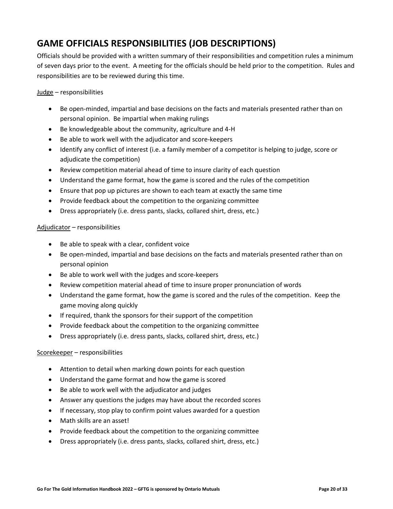# <span id="page-19-0"></span>**GAME OFFICIALS RESPONSIBILITIES (JOB DESCRIPTIONS)**

Officials should be provided with a written summary of their responsibilities and competition rules a minimum of seven days prior to the event. A meeting for the officials should be held prior to the competition. Rules and responsibilities are to be reviewed during this time.

# Judge – responsibilities

- Be open-minded, impartial and base decisions on the facts and materials presented rather than on personal opinion. Be impartial when making rulings
- Be knowledgeable about the community, agriculture and 4-H
- Be able to work well with the adjudicator and score-keepers
- Identify any conflict of interest (i.e. a family member of a competitor is helping to judge, score or adjudicate the competition)
- Review competition material ahead of time to insure clarity of each question
- Understand the game format, how the game is scored and the rules of the competition
- Ensure that pop up pictures are shown to each team at exactly the same time
- Provide feedback about the competition to the organizing committee
- Dress appropriately (i.e. dress pants, slacks, collared shirt, dress, etc.)

### Adjudicator – responsibilities

- Be able to speak with a clear, confident voice
- Be open-minded, impartial and base decisions on the facts and materials presented rather than on personal opinion
- Be able to work well with the judges and score-keepers
- Review competition material ahead of time to insure proper pronunciation of words
- Understand the game format, how the game is scored and the rules of the competition. Keep the game moving along quickly
- If required, thank the sponsors for their support of the competition
- Provide feedback about the competition to the organizing committee
- Dress appropriately (i.e. dress pants, slacks, collared shirt, dress, etc.)

# Scorekeeper – responsibilities

- Attention to detail when marking down points for each question
- Understand the game format and how the game is scored
- Be able to work well with the adjudicator and judges
- Answer any questions the judges may have about the recorded scores
- If necessary, stop play to confirm point values awarded for a question
- Math skills are an asset!
- Provide feedback about the competition to the organizing committee
- Dress appropriately (i.e. dress pants, slacks, collared shirt, dress, etc.)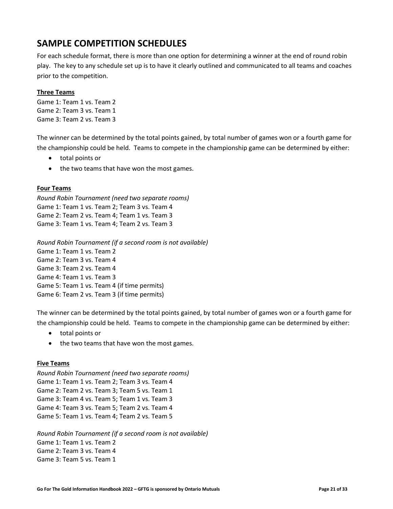# <span id="page-20-0"></span>**SAMPLE COMPETITION SCHEDULES**

For each schedule format, there is more than one option for determining a winner at the end of round robin play. The key to any schedule set up is to have it clearly outlined and communicated to all teams and coaches prior to the competition.

# **Three Teams**

Game 1: Team 1 vs. Team 2 Game 2: Team 3 vs. Team 1 Game 3: Team 2 vs. Team 3

The winner can be determined by the total points gained, by total number of games won or a fourth game for the championship could be held. Teams to compete in the championship game can be determined by either:

- total points or
- the two teams that have won the most games.

# **Four Teams**

*Round Robin Tournament (need two separate rooms)* Game 1: Team 1 vs. Team 2; Team 3 vs. Team 4 Game 2: Team 2 vs. Team 4; Team 1 vs. Team 3 Game 3: Team 1 vs. Team 4; Team 2 vs. Team 3

*Round Robin Tournament (if a second room is not available)* Game 1: Team 1 vs. Team 2 Game 2: Team 3 vs. Team 4 Game 3: Team 2 vs. Team 4 Game 4: Team 1 vs. Team 3 Game 5: Team 1 vs. Team 4 (if time permits) Game 6: Team 2 vs. Team 3 (if time permits)

The winner can be determined by the total points gained, by total number of games won or a fourth game for the championship could be held. Teams to compete in the championship game can be determined by either:

- total points or
- the two teams that have won the most games.

# **Five Teams**

*Round Robin Tournament (need two separate rooms)* Game 1: Team 1 vs. Team 2; Team 3 vs. Team 4 Game 2: Team 2 vs. Team 3; Team 5 vs. Team 1 Game 3: Team 4 vs. Team 5; Team 1 vs. Team 3 Game 4: Team 3 vs. Team 5; Team 2 vs. Team 4 Game 5: Team 1 vs. Team 4; Team 2 vs. Team 5

*Round Robin Tournament (if a second room is not available)* Game 1: Team 1 vs. Team 2 Game 2: Team 3 vs. Team 4 Game 3: Team 5 vs. Team 1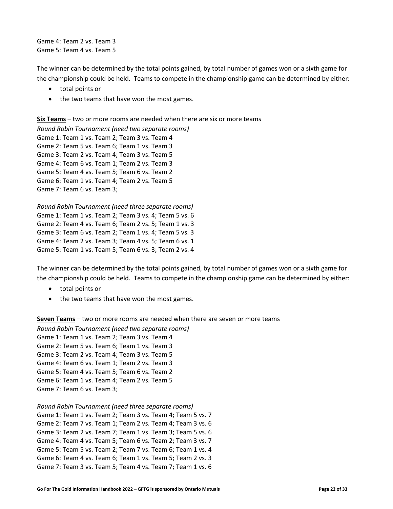Game 4: Team 2 vs. Team 3 Game 5: Team 4 vs. Team 5

The winner can be determined by the total points gained, by total number of games won or a sixth game for the championship could be held. Teams to compete in the championship game can be determined by either:

- total points or
- the two teams that have won the most games.

**Six Teams** – two or more rooms are needed when there are six or more teams

*Round Robin Tournament (need two separate rooms)* Game 1: Team 1 vs. Team 2; Team 3 vs. Team 4 Game 2: Team 5 vs. Team 6; Team 1 vs. Team 3 Game 3: Team 2 vs. Team 4; Team 3 vs. Team 5 Game 4: Team 6 vs. Team 1; Team 2 vs. Team 3 Game 5: Team 4 vs. Team 5; Team 6 vs. Team 2 Game 6: Team 1 vs. Team 4; Team 2 vs. Team 5 Game 7: Team 6 vs. Team 3;

*Round Robin Tournament (need three separate rooms)* Game 1: Team 1 vs. Team 2; Team 3 vs. 4; Team 5 vs. 6 Game 2: Team 4 vs. Team 6; Team 2 vs. 5; Team 1 vs. 3 Game 3: Team 6 vs. Team 2; Team 1 vs. 4; Team 5 vs. 3 Game 4: Team 2 vs. Team 3; Team 4 vs. 5; Team 6 vs. 1 Game 5: Team 1 vs. Team 5; Team 6 vs. 3; Team 2 vs. 4

The winner can be determined by the total points gained, by total number of games won or a sixth game for the championship could be held. Teams to compete in the championship game can be determined by either:

- total points or
- the two teams that have won the most games.

**Seven Teams** – two or more rooms are needed when there are seven or more teams

*Round Robin Tournament (need two separate rooms)* Game 1: Team 1 vs. Team 2; Team 3 vs. Team 4 Game 2: Team 5 vs. Team 6; Team 1 vs. Team 3 Game 3: Team 2 vs. Team 4; Team 3 vs. Team 5 Game 4: Team 6 vs. Team 1; Team 2 vs. Team 3 Game 5: Team 4 vs. Team 5; Team 6 vs. Team 2 Game 6: Team 1 vs. Team 4; Team 2 vs. Team 5 Game 7: Team 6 vs. Team 3;

### *Round Robin Tournament (need three separate rooms)*

Game 1: Team 1 vs. Team 2; Team 3 vs. Team 4; Team 5 vs. 7 Game 2: Team 7 vs. Team 1; Team 2 vs. Team 4; Team 3 vs. 6 Game 3: Team 2 vs. Team 7; Team 1 vs. Team 3; Team 5 vs. 6 Game 4: Team 4 vs. Team 5; Team 6 vs. Team 2; Team 3 vs. 7 Game 5: Team 5 vs. Team 2; Team 7 vs. Team 6; Team 1 vs. 4 Game 6: Team 4 vs. Team 6; Team 1 vs. Team 5; Team 2 vs. 3 Game 7: Team 3 vs. Team 5; Team 4 vs. Team 7; Team 1 vs. 6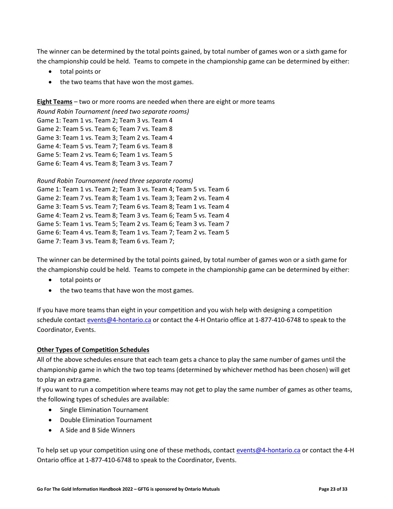The winner can be determined by the total points gained, by total number of games won or a sixth game for the championship could be held. Teams to compete in the championship game can be determined by either:

- total points or
- the two teams that have won the most games.

**Eight Teams** – two or more rooms are needed when there are eight or more teams

*Round Robin Tournament (need two separate rooms)* Game 1: Team 1 vs. Team 2; Team 3 vs. Team 4 Game 2: Team 5 vs. Team 6; Team 7 vs. Team 8 Game 3: Team 1 vs. Team 3; Team 2 vs. Team 4 Game 4: Team 5 vs. Team 7; Team 6 vs. Team 8 Game 5: Team 2 vs. Team 6; Team 1 vs. Team 5 Game 6: Team 4 vs. Team 8; Team 3 vs. Team 7

*Round Robin Tournament (need three separate rooms)*

Game 1: Team 1 vs. Team 2; Team 3 vs. Team 4; Team 5 vs. Team 6 Game 2: Team 7 vs. Team 8; Team 1 vs. Team 3; Team 2 vs. Team 4 Game 3: Team 5 vs. Team 7; Team 6 vs. Team 8; Team 1 vs. Team 4 Game 4: Team 2 vs. Team 8; Team 3 vs. Team 6; Team 5 vs. Team 4 Game 5: Team 1 vs. Team 5; Team 2 vs. Team 6; Team 3 vs. Team 7 Game 6: Team 4 vs. Team 8; Team 1 vs. Team 7; Team 2 vs. Team 5 Game 7: Team 3 vs. Team 8; Team 6 vs. Team 7;

The winner can be determined by the total points gained, by total number of games won or a sixth game for the championship could be held. Teams to compete in the championship game can be determined by either:

- total points or
- the two teams that have won the most games.

If you have more teams than eight in your competition and you wish help with designing a competition schedule contact [events@4-hontario.ca](mailto:events@4-hontario.ca) or contact the 4-H Ontario office at 1-877-410-6748 to speak to the Coordinator, Events.

# **Other Types of Competition Schedules**

All of the above schedules ensure that each team gets a chance to play the same number of games until the championship game in which the two top teams (determined by whichever method has been chosen) will get to play an extra game.

If you want to run a competition where teams may not get to play the same number of games as other teams, the following types of schedules are available:

- Single Elimination Tournament
- Double Elimination Tournament
- A Side and B Side Winners

To help set up your competition using one of these methods, contact [events@4-hontario.ca](mailto:events@4-hontario.ca) or contact the 4-H Ontario office at 1-877-410-6748 to speak to the Coordinator, Events.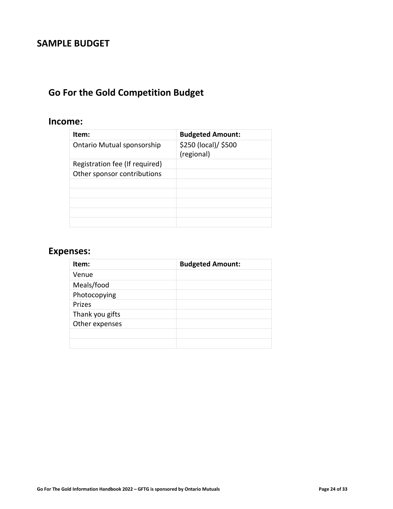# <span id="page-23-0"></span>**SAMPLE BUDGET**

# **Go For the Gold Competition Budget**

# **Income:**

| ltem:                             | <b>Budgeted Amount:</b>            |
|-----------------------------------|------------------------------------|
| <b>Ontario Mutual sponsorship</b> | \$250 (local)/ \$500<br>(regional) |
| Registration fee (If required)    |                                    |
| Other sponsor contributions       |                                    |
|                                   |                                    |
|                                   |                                    |
|                                   |                                    |
|                                   |                                    |
|                                   |                                    |

# **Expenses:**

| Item:           | <b>Budgeted Amount:</b> |
|-----------------|-------------------------|
| Venue           |                         |
| Meals/food      |                         |
| Photocopying    |                         |
| <b>Prizes</b>   |                         |
| Thank you gifts |                         |
| Other expenses  |                         |
|                 |                         |
|                 |                         |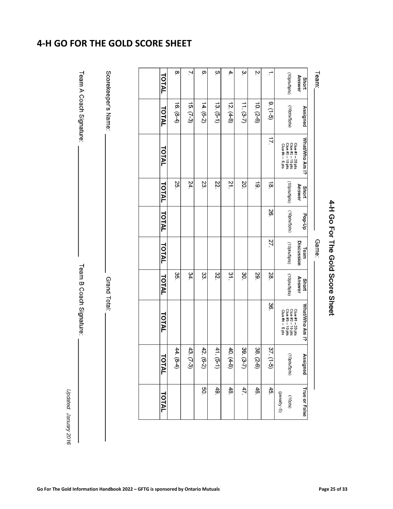| (10pts/5pts)<br>Answer<br>Short | (appropts)<br>Assigned |
|---------------------------------|------------------------|
|                                 | $(1-5)$                |
| Ņ                               | $10. (2-6)$            |
| $\omega$                        | $11. (3-7)$            |
| 4.                              | $12. (4-8)$            |
| <b>ុ</b>                        | $13. (5-1)$            |
| <u>ဇာ</u>                       | $14. (6-2)$            |
|                                 | $15. (7-3)$            |
| ŏ.                              | $16. (8-4)$            |
| <b>TOTAL</b>                    | TOTAL                  |

# 4-H Go For The Gold Score Sheet

Updated: January 2016

Team B Coach Signature:

**Grand Total:** 

# <span id="page-24-0"></span>**4-H GO FOR THE GOLD SCORE SHEET**

Scorekeeper's Name:

Team A Coach Signature:

**Go For The Gold Information Handbook 2022 – GFTG is sponsored by Ontario Mutuals Page 25 of 33**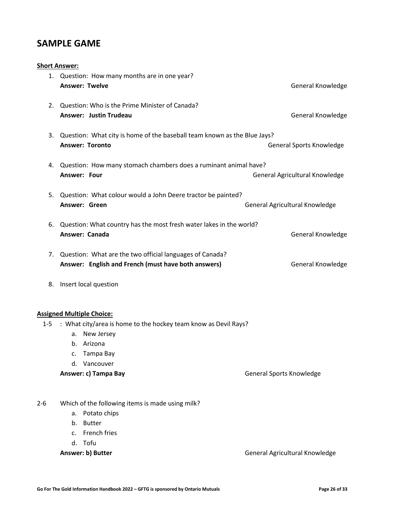# <span id="page-25-0"></span>**SAMPLE GAME**

### **Short Answer:**

- 1. Question: How many months are in one year? **Answer: Twelve** General Knowledge General Knowledge General Knowledge
- 2. Question: Who is the Prime Minister of Canada? Answer: Justin Trudeau **Answer: Justin Trudeau**
- 3. Question: What city is home of the baseball team known as the Blue Jays? **Answer: Toronto** General Sports Knowledge
- 4. Question: How many stomach chambers does a ruminant animal have? **Answer: Four** *General Agricultural Knowledge* General Agricultural Knowledge
- 5. Question: What colour would a John Deere tractor be painted? **Answer: Green** General Agricultural Knowledge
- 6. Question: What country has the most fresh water lakes in the world? **Answer: Canada** General Knowledge Canada General Knowledge
- 7. Question: What are the two official languages of Canada? **Answer: English and French (must have both answers)** General Knowledge
- 8. Insert local question

### **Assigned Multiple Choice:**

- 1-5 : What city/area is home to the hockey team know as Devil Rays?
	- a. New Jersey
	- b. Arizona
	- c. Tampa Bay
	- d. Vancouver

**Answer: c) Tampa Bay General Sports Knowledge General Sports Knowledge** 

- 2-6 Which of the following items is made using milk?
	- a. Potato chips
	- b. Butter
	- c. French fries
	- d. Tofu

**Answer: b) Butter** Chronicle Community Community Ceneral Agricultural Knowledge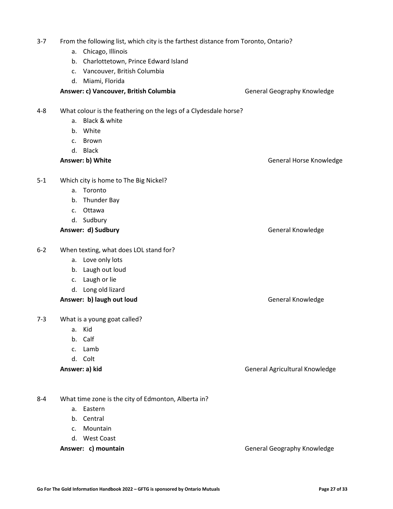| $3 - 7$ | From the following list, which city is the farthest distance from Toronto, Ontario? |                                                     |                                |  |
|---------|-------------------------------------------------------------------------------------|-----------------------------------------------------|--------------------------------|--|
|         |                                                                                     | a. Chicago, Illinois                                |                                |  |
|         |                                                                                     | b. Charlottetown, Prince Edward Island              |                                |  |
|         |                                                                                     | c. Vancouver, British Columbia                      |                                |  |
|         |                                                                                     | d. Miami, Florida                                   |                                |  |
|         |                                                                                     | Answer: c) Vancouver, British Columbia              | General Geography Knowledge    |  |
| 4-8     | What colour is the feathering on the legs of a Clydesdale horse?                    |                                                     |                                |  |
|         | а.                                                                                  | Black & white                                       |                                |  |
|         |                                                                                     | b. White                                            |                                |  |
|         |                                                                                     | c. Brown                                            |                                |  |
|         |                                                                                     | d. Black                                            |                                |  |
|         |                                                                                     | Answer: b) White                                    | General Horse Knowledge        |  |
| $5 - 1$ |                                                                                     | Which city is home to The Big Nickel?               |                                |  |
|         | a.                                                                                  | Toronto                                             |                                |  |
|         |                                                                                     | b. Thunder Bay                                      |                                |  |
|         |                                                                                     | c. Ottawa                                           |                                |  |
|         |                                                                                     | d. Sudbury                                          |                                |  |
|         |                                                                                     | Answer: d) Sudbury                                  | General Knowledge              |  |
| $6 - 2$ |                                                                                     | When texting, what does LOL stand for?              |                                |  |
|         |                                                                                     | a. Love only lots                                   |                                |  |
|         |                                                                                     | b. Laugh out loud                                   |                                |  |
|         |                                                                                     | c. Laugh or lie                                     |                                |  |
|         |                                                                                     | d. Long old lizard                                  |                                |  |
|         |                                                                                     | Answer: b) laugh out loud                           | General Knowledge              |  |
| $7-3$   |                                                                                     | What is a young goat called?                        |                                |  |
|         | a.                                                                                  | Kid                                                 |                                |  |
|         |                                                                                     | b. Calf                                             |                                |  |
|         |                                                                                     | c. Lamb                                             |                                |  |
|         |                                                                                     | d. Colt                                             |                                |  |
|         | Answer: a) kid                                                                      |                                                     | General Agricultural Knowledge |  |
|         |                                                                                     |                                                     |                                |  |
| $8 - 4$ |                                                                                     | What time zone is the city of Edmonton, Alberta in? |                                |  |
|         |                                                                                     | a. Eastern                                          |                                |  |
|         |                                                                                     | b. Central                                          |                                |  |
|         |                                                                                     | c. Mountain                                         |                                |  |
|         |                                                                                     | d. West Coast                                       |                                |  |
|         |                                                                                     | Answer: c) mountain                                 | General Geography Knowledge    |  |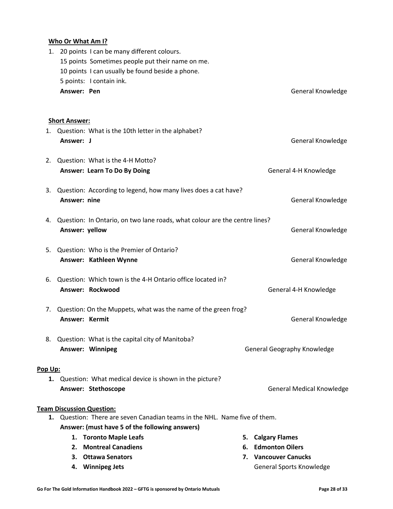# **Who Or What Am I?**

| 1. Question: What medical device is shown in the picture?<br>Answer: Stethoscope<br><b>Team Discussion Question:</b> | <b>General Medical Knowledge</b>              |
|----------------------------------------------------------------------------------------------------------------------|-----------------------------------------------|
|                                                                                                                      |                                               |
|                                                                                                                      |                                               |
|                                                                                                                      |                                               |
|                                                                                                                      |                                               |
| <b>Answer: Winnipeg</b>                                                                                              | General Geography Knowledge                   |
| 8. Question: What is the capital city of Manitoba?                                                                   |                                               |
| 7. Question: On the Muppets, what was the name of the green frog?<br>Answer: Kermit                                  | General Knowledge                             |
| Answer: Rockwood                                                                                                     | General 4-H Knowledge                         |
| 6. Question: Which town is the 4-H Ontario office located in?                                                        |                                               |
| Answer: Kathleen Wynne                                                                                               | General Knowledge                             |
| 5. Question: Who is the Premier of Ontario?                                                                          |                                               |
| 4. Question: In Ontario, on two lane roads, what colour are the centre lines?<br>Answer: yellow                      | General Knowledge                             |
| Answer: nine                                                                                                         | General Knowledge                             |
| 3. Question: According to legend, how many lives does a cat have?                                                    |                                               |
| <b>Answer: Learn To Do By Doing</b>                                                                                  | General 4-H Knowledge                         |
| 2. Question: What is the 4-H Motto?                                                                                  |                                               |
| 1. Question: What is the 10th letter in the alphabet?<br>Answer: J                                                   | General Knowledge                             |
| <b>Short Answer:</b>                                                                                                 |                                               |
|                                                                                                                      |                                               |
| 5 points: I contain ink.<br>Answer: Pen                                                                              | General Knowledge                             |
| 10 points I can usually be found beside a phone.                                                                     |                                               |
| 15 points Sometimes people put their name on me.                                                                     |                                               |
|                                                                                                                      | 1. 20 points I can be many different colours. |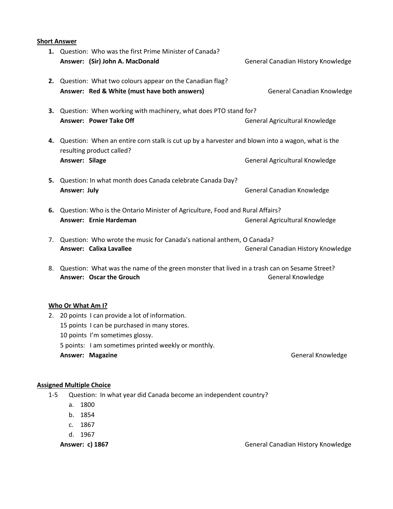### **Short Answer**

| 1. | Question: Who was the first Prime Minister of Canada?<br>Answer: (Sir) John A. MacDonald                                      | General Canadian History Knowledge |
|----|-------------------------------------------------------------------------------------------------------------------------------|------------------------------------|
| 2. | Question: What two colours appear on the Canadian flag?<br>Answer: Red & White (must have both answers)                       | General Canadian Knowledge         |
| з. | Question: When working with machinery, what does PTO stand for?<br><b>Answer: Power Take Off</b>                              | General Agricultural Knowledge     |
| 4. | Question: When an entire corn stalk is cut up by a harvester and blown into a wagon, what is the<br>resulting product called? |                                    |

- **Answer: Silage Community Community Community Community Community Community Community Community Community Community**
- **5.** Question: In what month does Canada celebrate Canada Day? **Answer: July Answer: July General Canadian Knowledge**
- **6.** Question: Who is the Ontario Minister of Agriculture, Food and Rural Affairs? Answer: Ernie Hardeman **General Agricultural Knowledge**
- 7. Question: Who wrote the music for Canada's national anthem, O Canada? **Answer: Calixa Lavallee** Canadian History Knowledge Canadian History Knowledge
- 8. Question: What was the name of the green monster that lived in a trash can on Sesame Street? Answer: Oscar the Grouch **Group** Contract Contract Contract Contract Contract Contract Contract Contract Contract Contract Contract Contract Contract Contract Contract Contract Contract Contract Contract Contract Contract

### **Who Or What Am I?**

- 2. 20 points I can provide a lot of information.
	- 15 points I can be purchased in many stores.
	- 10 points I'm sometimes glossy.
	- 5 points: I am sometimes printed weekly or monthly.

**Answer: Magazine General Knowledge Communist Communist Communist Communist Communist Communist Communist Communist Communist Communist Communist Communist Communist Communist Communist Communist Communist Communist Commun** 

### **Assigned Multiple Choice**

- 1-5 Question: In what year did Canada become an independent country?
	- a. 1800
	- b. 1854
	- c. 1867
	- d. 1967

**Answer: c) 1867** General Canadian History Knowledge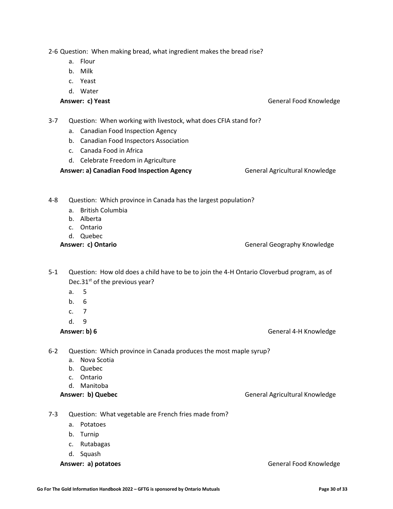2-6 Question: When making bread, what ingredient makes the bread rise?

- a. Flour
- b. Milk
- c. Yeast
- d. Water

**Answer: c) Yeast General Food Knowledge** 

- 3-7 Question: When working with livestock, what does CFIA stand for?
	- a. Canadian Food Inspection Agency
	- b. Canadian Food Inspectors Association
	- c. Canada Food in Africa
	- d. Celebrate Freedom in Agriculture

**Answer: a) Canadian Food Inspection Agency entity of the General Agricultural Knowledge** 

4-8 Question: Which province in Canada has the largest population?

- a. British Columbia
- b. Alberta
- c. Ontario
- d. Quebec

**Answer: c) Ontario**  Contario **Contained Beneral Geography Knowledge** 

- 5-1 Question: How old does a child have to be to join the 4-H Ontario Cloverbud program, as of Dec.31 $st$  of the previous year?
	- a. 5
	- b. 6
	- c. 7
	- d. 9

**Answer: b) 6** General 4-H Knowledge

6-2 Question: Which province in Canada produces the most maple syrup?

- a. Nova Scotia
- b. Quebec
- c. Ontario
- d. Manitoba

**Answer: b) Quebec General Agricultural Knowledge General Agricultural Knowledge** 

- 7-3 Question: What vegetable are French fries made from?
	- a. Potatoes
	- b. Turnip
	- c. Rutabagas
	- d. Squash
	- **Answer: a) potatoes Answer: a) potatoes CENSISTING**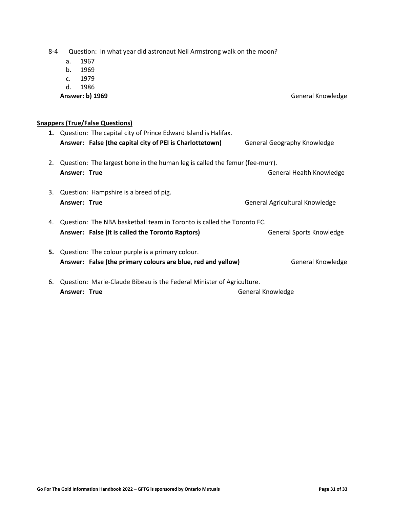8-4 Question: In what year did astronaut Neil Armstrong walk on the moon? a. 1967 b. 1969 c. 1979 d. 1986 **Answer: b) 1969** General Knowledge **Construction Construction Construction Construction Construction Construction Snappers (True/False Questions) 1.** Question: The capital city of Prince Edward Island is Halifax. Answer: False (the capital city of PEI is Charlottetown) General Geography Knowledge 2. Question: The largest bone in the human leg is called the femur (fee-murr). **Answer: True General Health Knowledge General Health Knowledge** 3. Question: Hampshire is a breed of pig. Answer: True **Answer: True General Agricultural Knowledge** 4. Question: The NBA basketball team in Toronto is called the Toronto FC. **Answer: False (it is called the Toronto Raptors)** General Sports Knowledge **5.** Question: The colour purple is a primary colour. Answer: False (the primary colours are blue, red and yellow) General Knowledge 6. Question: Marie-Claude Bibeau is the Federal Minister of Agriculture. Answer: True **Answer: True General Knowledge**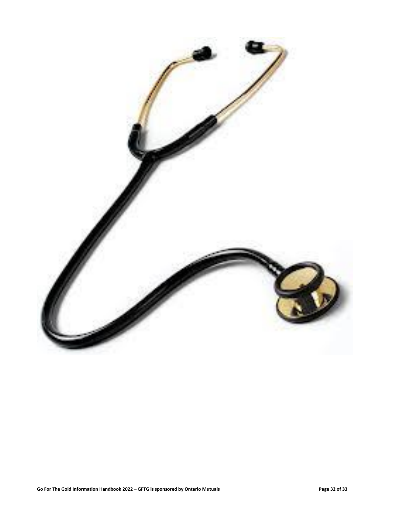